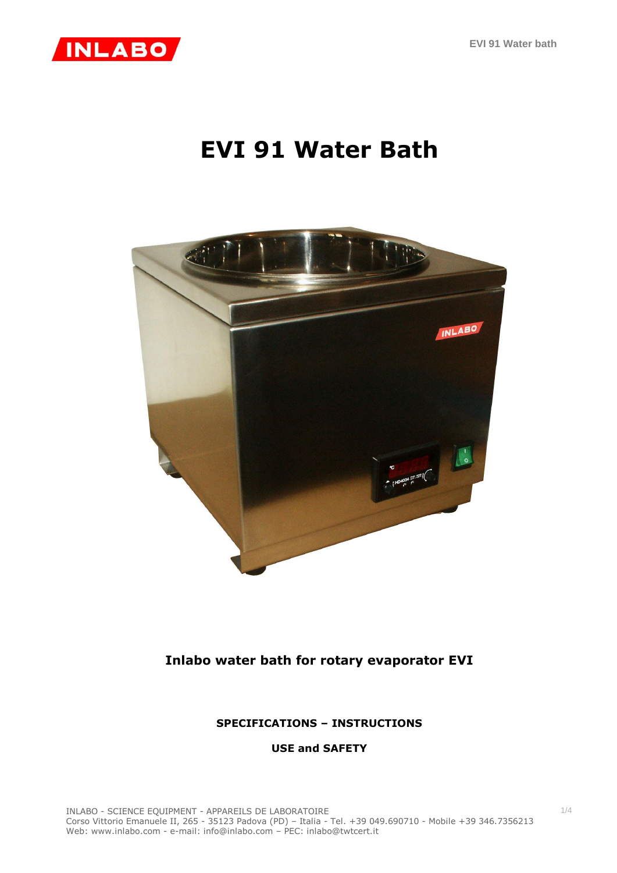

## **EVI 91 Water Bath**



### **Inlabo water bath for rotary evaporator EVI**

#### **SPECIFICATIONS – INSTRUCTIONS**

**USE and SAFETY**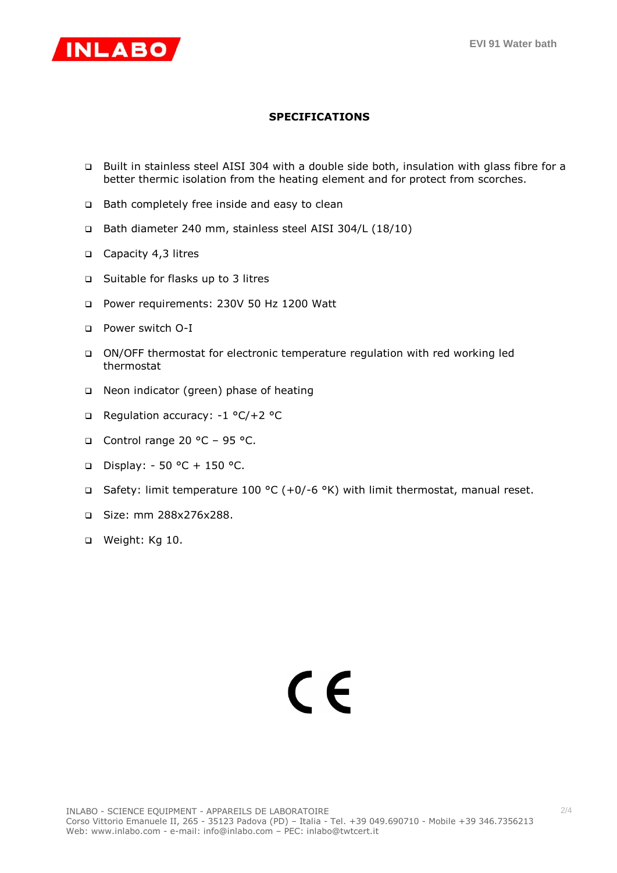

#### **SPECIFICATIONS**

- Built in stainless steel AISI 304 with a double side both, insulation with glass fibre for a better thermic isolation from the heating element and for protect from scorches.
- □ Bath completely free inside and easy to clean
- Bath diameter 240 mm, stainless steel AISI 304/L (18/10)
- Capacity 4,3 litres
- □ Suitable for flasks up to 3 litres
- Power requirements: 230V 50 Hz 1200 Watt
- Power switch O-I
- ON/OFF thermostat for electronic temperature regulation with red working led thermostat
- □ Neon indicator (green) phase of heating
- Regulation accuracy: -1 °C/+2 °C
- Control range 20 °C 95 °C.
- Display: 50 °C + 150 °C.
- Safety: limit temperature 100 °C (+0/-6 °K) with limit thermostat, manual reset.
- Size: mm 288x276x288.
- □ Weight: Kg 10.

# C E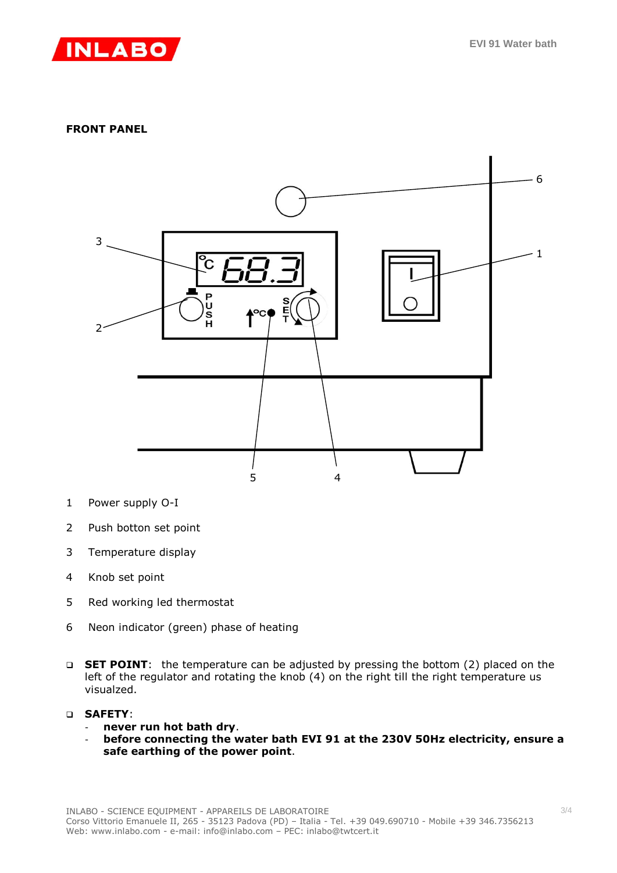

#### **FRONT PANEL**



- 1 Power supply O-I
- 2 Push botton set point
- 3 Temperature display
- 4 Knob set point
- 5 Red working led thermostat
- 6 Neon indicator (green) phase of heating
- □ **SET POINT**: the temperature can be adjusted by pressing the bottom (2) placed on the left of the regulator and rotating the knob (4) on the right till the right temperature us visualzed.
- **SAFETY**:
	- **never run hot bath dry**.
	- **before connecting the water bath EVI 91 at the 230V 50Hz electricity, ensure a safe earthing of the power point**.